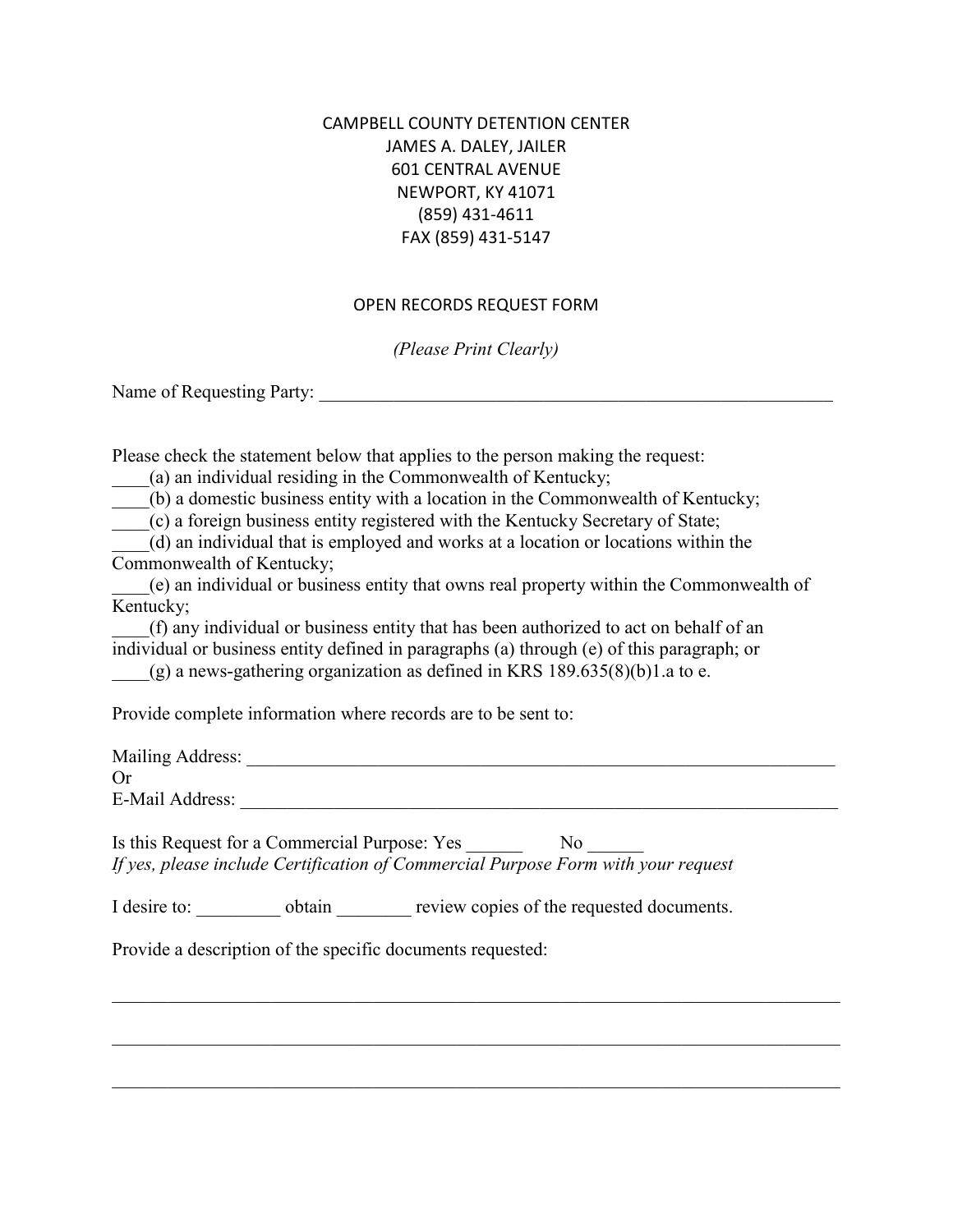## CAMPBELL COUNTY DETENTION CENTER JAMES A. DALEY, JAILER 601 CENTRAL AVENUE NEWPORT, KY 41071 (859) 431-4611 FAX (859) 431-5147

## OPEN RECORDS REQUEST FORM

*(Please Print Clearly)*

Name of Requesting Party:

Please check the statement below that applies to the person making the request:

\_\_\_\_(a) an individual residing in the Commonwealth of Kentucky;

\_\_\_\_(b) a domestic business entity with a location in the Commonwealth of Kentucky;

\_\_\_\_(c) a foreign business entity registered with the Kentucky Secretary of State;

\_\_\_\_(d) an individual that is employed and works at a location or locations within the Commonwealth of Kentucky;

\_\_\_\_(e) an individual or business entity that owns real property within the Commonwealth of Kentucky;

\_\_\_\_(f) any individual or business entity that has been authorized to act on behalf of an individual or business entity defined in paragraphs (a) through (e) of this paragraph; or  $(g)$  a news-gathering organization as defined in KRS 189.635(8)(b)1.a to e.

Provide complete information where records are to be sent to:

Mailing Address: \_\_\_\_\_\_\_\_\_\_\_\_\_\_\_\_\_\_\_\_\_\_\_\_\_\_\_\_\_\_\_\_\_\_\_\_\_\_\_\_\_\_\_\_\_\_\_\_\_\_\_\_\_\_\_\_\_\_\_\_\_\_\_ Or E-Mail Address: \_\_\_\_\_\_\_\_\_\_\_\_\_\_\_\_\_\_\_\_\_\_\_\_\_\_\_\_\_\_\_\_\_\_\_\_\_\_\_\_\_\_\_\_\_\_\_\_\_\_\_\_\_\_\_\_\_\_\_\_\_\_\_\_

\_\_\_\_\_\_\_\_\_\_\_\_\_\_\_\_\_\_\_\_\_\_\_\_\_\_\_\_\_\_\_\_\_\_\_\_\_\_\_\_\_\_\_\_\_\_\_\_\_\_\_\_\_\_\_\_\_\_\_\_\_\_\_\_\_\_\_\_\_\_\_\_\_\_\_\_\_\_

\_\_\_\_\_\_\_\_\_\_\_\_\_\_\_\_\_\_\_\_\_\_\_\_\_\_\_\_\_\_\_\_\_\_\_\_\_\_\_\_\_\_\_\_\_\_\_\_\_\_\_\_\_\_\_\_\_\_\_\_\_\_\_\_\_\_\_\_\_\_\_\_\_\_\_\_\_\_

Is this Request for a Commercial Purpose: Yes No *If yes, please include Certification of Commercial Purpose Form with your request*

I desire to:  $\qquad \qquad$  obtain  $\qquad \qquad$  review copies of the requested documents.

Provide a description of the specific documents requested: